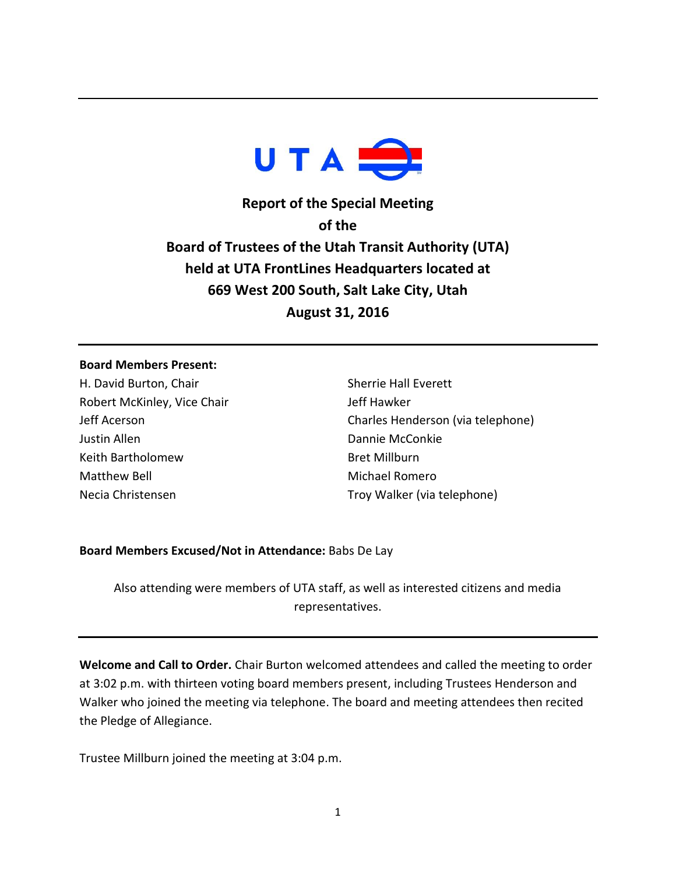

**Report of the Special Meeting of the Board of Trustees of the Utah Transit Authority (UTA) held at UTA FrontLines Headquarters located at 669 West 200 South, Salt Lake City, Utah August 31, 2016**

## **Board Members Present:**

H. David Burton, Chair Robert McKinley, Vice Chair Jeff Acerson Justin Allen Keith Bartholomew Matthew Bell Necia Christensen

Sherrie Hall Everett Jeff Hawker Charles Henderson (via telephone) Dannie McConkie Bret Millburn Michael Romero Troy Walker (via telephone)

## **Board Members Excused/Not in Attendance:** Babs De Lay

Also attending were members of UTA staff, as well as interested citizens and media representatives.

**Welcome and Call to Order.** Chair Burton welcomed attendees and called the meeting to order at 3:02 p.m. with thirteen voting board members present, including Trustees Henderson and Walker who joined the meeting via telephone. The board and meeting attendees then recited the Pledge of Allegiance.

Trustee Millburn joined the meeting at 3:04 p.m.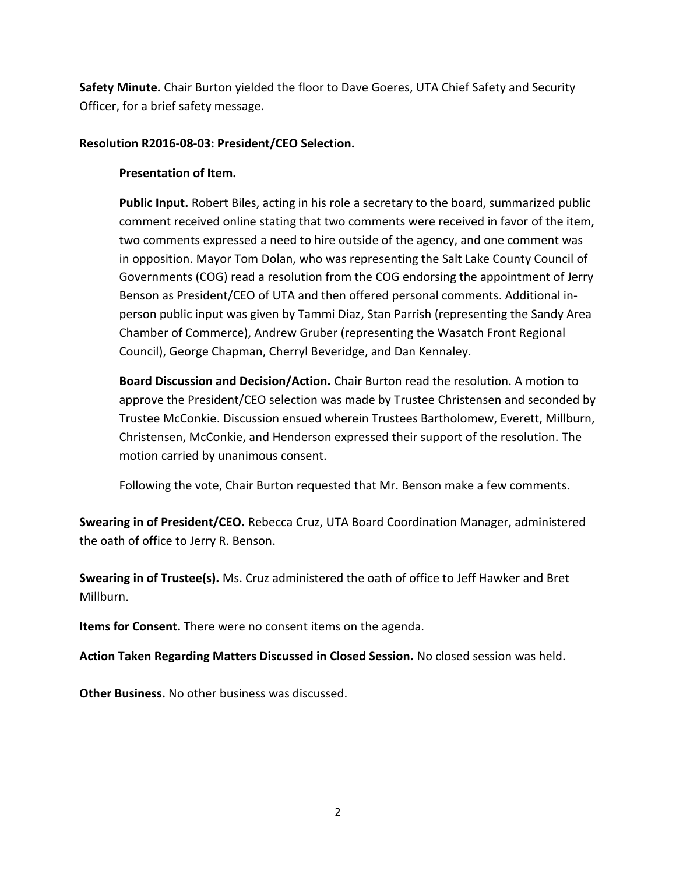**Safety Minute.** Chair Burton yielded the floor to Dave Goeres, UTA Chief Safety and Security Officer, for a brief safety message.

## **Resolution R2016-08-03: President/CEO Selection.**

## **Presentation of Item.**

**Public Input.** Robert Biles, acting in his role a secretary to the board, summarized public comment received online stating that two comments were received in favor of the item, two comments expressed a need to hire outside of the agency, and one comment was in opposition. Mayor Tom Dolan, who was representing the Salt Lake County Council of Governments (COG) read a resolution from the COG endorsing the appointment of Jerry Benson as President/CEO of UTA and then offered personal comments. Additional inperson public input was given by Tammi Diaz, Stan Parrish (representing the Sandy Area Chamber of Commerce), Andrew Gruber (representing the Wasatch Front Regional Council), George Chapman, Cherryl Beveridge, and Dan Kennaley.

**Board Discussion and Decision/Action.** Chair Burton read the resolution. A motion to approve the President/CEO selection was made by Trustee Christensen and seconded by Trustee McConkie. Discussion ensued wherein Trustees Bartholomew, Everett, Millburn, Christensen, McConkie, and Henderson expressed their support of the resolution. The motion carried by unanimous consent.

Following the vote, Chair Burton requested that Mr. Benson make a few comments.

**Swearing in of President/CEO.** Rebecca Cruz, UTA Board Coordination Manager, administered the oath of office to Jerry R. Benson.

**Swearing in of Trustee(s).** Ms. Cruz administered the oath of office to Jeff Hawker and Bret Millburn.

**Items for Consent.** There were no consent items on the agenda.

**Action Taken Regarding Matters Discussed in Closed Session.** No closed session was held.

**Other Business.** No other business was discussed.